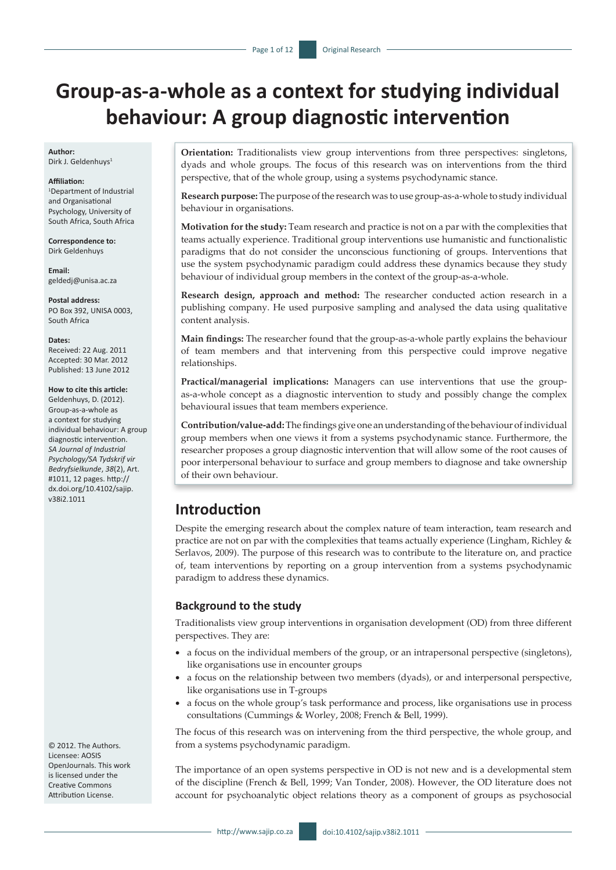# **Group-as-a-whole as a context for studying individual behaviour: A group diagnostic intervention**

**Author:** Dirk J. Geldenhuys<sup>1</sup>

#### **Affiliation:**

1 Department of Industrial and Organisational Psychology, University of South Africa, South Africa

**Correspondence to:** Dirk Geldenhuys

**Email:** [geldedj@unisa.ac.za](mailto:geldedj@unisa.ac.za)

**Postal address:** PO Box 392, UNISA 0003, South Africa

**Dates:**

Received: 22 Aug. 2011 Accepted: 30 Mar. 2012 Published: 13 June 2012

#### **How to cite this article:**

Geldenhuys, D. (2012). Group-as-a-whole as a context for studying individual behaviour: A group diagnostic intervention. *SA Journal of Industrial Psychology/SA Tydskrif vir Bedryfsielkunde*, *38*(2), Art. #1011, 12 pages. [http://](http://dx.doi.org/10.4102/sajip.v38i2.1011) [dx.doi.org/10.4102/sajip.](http://dx.doi.org/10.4102/sajip.v38i2.1011) [v38i2.1011](http://dx.doi.org/10.4102/sajip.v38i2.1011)

© 2012. The Authors. Licensee: AOSIS OpenJournals. This work is licensed under the Creative Commons Attribution License.

**Orientation:** Traditionalists view group interventions from three perspectives: singletons, dyads and whole groups. The focus of this research was on interventions from the third perspective, that of the whole group, using a systems psychodynamic stance.

**Research purpose:** The purpose of the research was to use group-as-a-whole to study individual behaviour in organisations.

**Motivation for the study:** Team research and practice is not on a par with the complexities that teams actually experience. Traditional group interventions use humanistic and functionalistic paradigms that do not consider the unconscious functioning of groups. Interventions that use the system psychodynamic paradigm could address these dynamics because they study behaviour of individual group members in the context of the group-as-a-whole.

**Research design, approach and method:** The researcher conducted action research in a publishing company. He used purposive sampling and analysed the data using qualitative content analysis.

**Main findings:** The researcher found that the group-as-a-whole partly explains the behaviour of team members and that intervening from this perspective could improve negative relationships.

**Practical/managerial implications:** Managers can use interventions that use the groupas-a-whole concept as a diagnostic intervention to study and possibly change the complex behavioural issues that team members experience.

**Contribution/value-add:** The findings give one an understanding of the behaviour of individual group members when one views it from a systems psychodynamic stance. Furthermore, the researcher proposes a group diagnostic intervention that will allow some of the root causes of poor interpersonal behaviour to surface and group members to diagnose and take ownership of their own behaviour.

# **Introduction**

Despite the emerging research about the complex nature of team interaction, team research and practice are not on par with the complexities that teams actually experience (Lingham, Richley & Serlavos, 2009). The purpose of this research was to contribute to the literature on, and practice of, team interventions by reporting on a group intervention from a systems psychodynamic paradigm to address these dynamics.

# **Background to the study**

Traditionalists view group interventions in organisation development (OD) from three different perspectives. They are:

- • a focus on the individual members of the group, or an intrapersonal perspective (singletons), like organisations use in encounter groups
- a focus on the relationship between two members (dyads), or and interpersonal perspective, like organisations use in T-groups
- a focus on the whole group's task performance and process, like organisations use in process consultations (Cummings & Worley, 2008; French & Bell, 1999).

The focus of this research was on intervening from the third perspective, the whole group, and from a systems psychodynamic paradigm.

The importance of an open systems perspective in OD is not new and is a developmental stem of the discipline (French & Bell, 1999; Van Tonder, 2008). However, the OD literature does not account for psychoanalytic object relations theory as a component of groups as psychosocial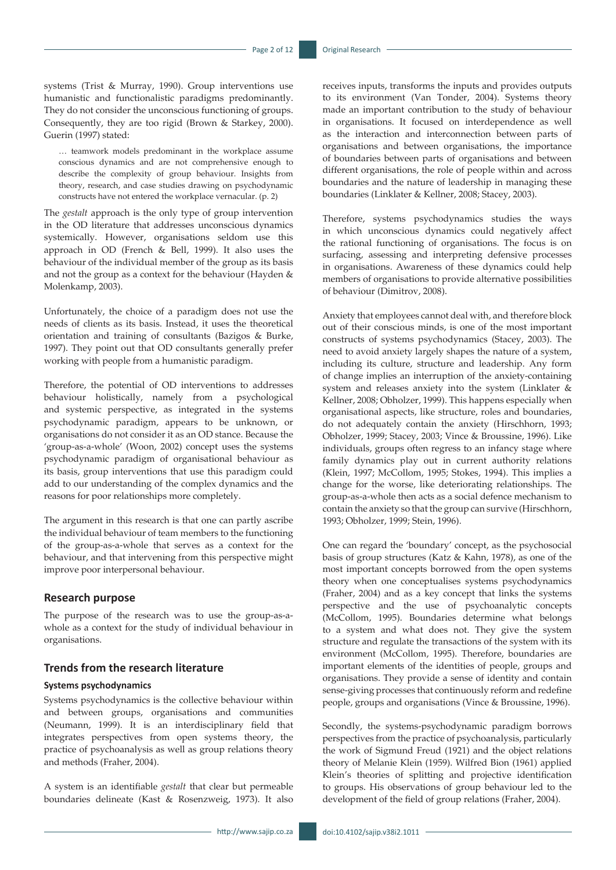systems (Trist & Murray, 1990). Group interventions use humanistic and functionalistic paradigms predominantly. They do not consider the unconscious functioning of groups. Consequently, they are too rigid (Brown & Starkey, 2000). Guerin (1997) stated:

… teamwork models predominant in the workplace assume conscious dynamics and are not comprehensive enough to describe the complexity of group behaviour. Insights from theory, research, and case studies drawing on psychodynamic constructs have not entered the workplace vernacular. (p. 2)

The *gestalt* approach is the only type of group intervention in the OD literature that addresses unconscious dynamics systemically. However, organisations seldom use this approach in OD (French & Bell, 1999). It also uses the behaviour of the individual member of the group as its basis and not the group as a context for the behaviour (Hayden & Molenkamp, 2003).

Unfortunately, the choice of a paradigm does not use the needs of clients as its basis. Instead, it uses the theoretical orientation and training of consultants (Bazigos & Burke, 1997). They point out that OD consultants generally prefer working with people from a humanistic paradigm.

Therefore, the potential of OD interventions to addresses behaviour holistically, namely from a psychological and systemic perspective, as integrated in the systems psychodynamic paradigm, appears to be unknown, or organisations do not consider it as an OD stance. Because the 'group-as-a-whole' (Woon, 2002) concept uses the systems psychodynamic paradigm of organisational behaviour as its basis, group interventions that use this paradigm could add to our understanding of the complex dynamics and the reasons for poor relationships more completely.

The argument in this research is that one can partly ascribe the individual behaviour of team members to the functioning of the group-as-a-whole that serves as a context for the behaviour, and that intervening from this perspective might improve poor interpersonal behaviour.

#### **Research purpose**

The purpose of the research was to use the group-as-awhole as a context for the study of individual behaviour in organisations.

## **Trends from the research literature**

#### **Systems psychodynamics**

Systems psychodynamics is the collective behaviour within and between groups, organisations and communities (Neumann, 1999). It is an interdisciplinary field that integrates perspectives from open systems theory, the practice of psychoanalysis as well as group relations theory and methods (Fraher, 2004).

A system is an identifiable *gestalt* that clear but permeable boundaries delineate (Kast & Rosenzweig, 1973). It also receives inputs, transforms the inputs and provides outputs to its environment (Van Tonder, 2004). Systems theory made an important contribution to the study of behaviour in organisations. It focused on interdependence as well as the interaction and interconnection between parts of organisations and between organisations, the importance of boundaries between parts of organisations and between different organisations, the role of people within and across boundaries and the nature of leadership in managing these boundaries (Linklater & Kellner, 2008; Stacey, 2003).

Therefore, systems psychodynamics studies the ways in which unconscious dynamics could negatively affect the rational functioning of organisations. The focus is on surfacing, assessing and interpreting defensive processes in organisations. Awareness of these dynamics could help members of organisations to provide alternative possibilities of behaviour (Dimitrov, 2008).

Anxiety that employees cannot deal with, and therefore block out of their conscious minds, is one of the most important constructs of systems psychodynamics (Stacey, 2003). The need to avoid anxiety largely shapes the nature of a system, including its culture, structure and leadership. Any form of change implies an interruption of the anxiety-containing system and releases anxiety into the system (Linklater & Kellner, 2008; Obholzer, 1999). This happens especially when organisational aspects, like structure, roles and boundaries, do not adequately contain the anxiety (Hirschhorn, 1993; Obholzer, 1999; Stacey, 2003; Vince & Broussine, 1996). Like individuals, groups often regress to an infancy stage where family dynamics play out in current authority relations (Klein, 1997; McCollom, 1995; Stokes, 1994). This implies a change for the worse, like deteriorating relationships. The group-as-a-whole then acts as a social defence mechanism to contain the anxiety so that the group can survive (Hirschhorn, 1993; Obholzer, 1999; Stein, 1996).

One can regard the 'boundary' concept, as the psychosocial basis of group structures (Katz & Kahn, 1978), as one of the most important concepts borrowed from the open systems theory when one conceptualises systems psychodynamics (Fraher, 2004) and as a key concept that links the systems perspective and the use of psychoanalytic concepts (McCollom, 1995). Boundaries determine what belongs to a system and what does not. They give the system structure and regulate the transactions of the system with its environment (McCollom, 1995). Therefore, boundaries are important elements of the identities of people, groups and organisations. They provide a sense of identity and contain sense-giving processes that continuously reform and redefine people, groups and organisations (Vince & Broussine, 1996).

Secondly, the systems-psychodynamic paradigm borrows perspectives from the practice of psychoanalysis, particularly the work of Sigmund Freud (1921) and the object relations theory of Melanie Klein (1959). Wilfred Bion (1961) applied Klein's theories of splitting and projective identification to groups. His observations of group behaviour led to the development of the field of group relations (Fraher, 2004).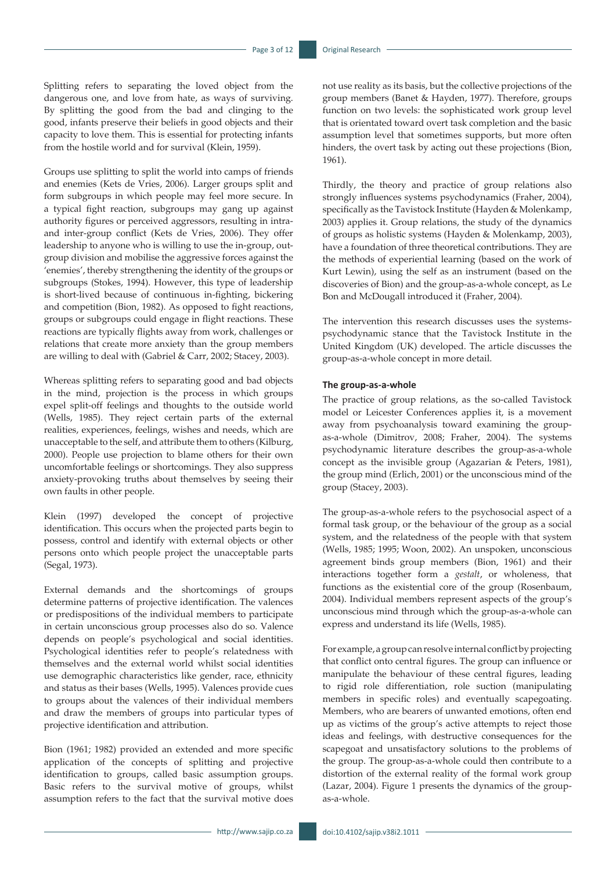Splitting refers to separating the loved object from the dangerous one, and love from hate, as ways of surviving. By splitting the good from the bad and clinging to the good, infants preserve their beliefs in good objects and their capacity to love them. This is essential for protecting infants from the hostile world and for survival (Klein, 1959).

Groups use splitting to split the world into camps of friends and enemies (Kets de Vries, 2006). Larger groups split and form subgroups in which people may feel more secure. In a typical fight reaction, subgroups may gang up against authority figures or perceived aggressors, resulting in intraand inter-group conflict (Kets de Vries, 2006). They offer leadership to anyone who is willing to use the in-group, outgroup division and mobilise the aggressive forces against the 'enemies', thereby strengthening the identity of the groups or subgroups (Stokes, 1994). However, this type of leadership is short-lived because of continuous in-fighting, bickering and competition (Bion, 1982). As opposed to fight reactions, groups or subgroups could engage in flight reactions. These reactions are typically flights away from work, challenges or relations that create more anxiety than the group members are willing to deal with (Gabriel & Carr, 2002; Stacey, 2003).

Whereas splitting refers to separating good and bad objects in the mind, projection is the process in which groups expel split-off feelings and thoughts to the outside world (Wells, 1985). They reject certain parts of the external realities, experiences, feelings, wishes and needs, which are unacceptable to the self, and attribute them to others (Kilburg, 2000). People use projection to blame others for their own uncomfortable feelings or shortcomings. They also suppress anxiety-provoking truths about themselves by seeing their own faults in other people.

Klein (1997) developed the concept of projective identification. This occurs when the projected parts begin to possess, control and identify with external objects or other persons onto which people project the unacceptable parts (Segal, 1973).

External demands and the shortcomings of groups determine patterns of projective identification. The valences or predispositions of the individual members to participate in certain unconscious group processes also do so. Valence depends on people's psychological and social identities. Psychological identities refer to people's relatedness with themselves and the external world whilst social identities use demographic characteristics like gender, race, ethnicity and status as their bases (Wells, 1995). Valences provide cues to groups about the valences of their individual members and draw the members of groups into particular types of projective identification and attribution.

Bion (1961; 1982) provided an extended and more specific application of the concepts of splitting and projective identification to groups, called basic assumption groups. Basic refers to the survival motive of groups, whilst assumption refers to the fact that the survival motive does not use reality as its basis, but the collective projections of the group members (Banet & Hayden, 1977). Therefore, groups function on two levels: the sophisticated work group level that is orientated toward overt task completion and the basic assumption level that sometimes supports, but more often hinders, the overt task by acting out these projections (Bion, 1961).

Thirdly, the theory and practice of group relations also strongly influences systems psychodynamics (Fraher, 2004), specifically as the Tavistock Institute (Hayden & Molenkamp, 2003) applies it. Group relations, the study of the dynamics of groups as holistic systems (Hayden & Molenkamp, 2003), have a foundation of three theoretical contributions. They are the methods of experiential learning (based on the work of Kurt Lewin), using the self as an instrument (based on the discoveries of Bion) and the group-as-a-whole concept, as Le Bon and McDougall introduced it (Fraher, 2004).

The intervention this research discusses uses the systemspsychodynamic stance that the Tavistock Institute in the United Kingdom (UK) developed. The article discusses the group-as-a-whole concept in more detail.

#### **The group-as-a-whole**

The practice of group relations, as the so-called Tavistock model or Leicester Conferences applies it, is a movement away from psychoanalysis toward examining the groupas-a-whole (Dimitrov, 2008; Fraher, 2004). The systems psychodynamic literature describes the group-as-a-whole concept as the invisible group (Agazarian & Peters, 1981), the group mind (Erlich, 2001) or the unconscious mind of the group (Stacey, 2003).

The group-as-a-whole refers to the psychosocial aspect of a formal task group, or the behaviour of the group as a social system, and the relatedness of the people with that system (Wells, 1985; 1995; Woon, 2002). An unspoken, unconscious agreement binds group members (Bion, 1961) and their interactions together form a *gestalt*, or wholeness, that functions as the existential core of the group (Rosenbaum, 2004). Individual members represent aspects of the group's unconscious mind through which the group-as-a-whole can express and understand its life (Wells, 1985).

For example, a group can resolve internal conflict by projecting that conflict onto central figures. The group can influence or manipulate the behaviour of these central figures, leading to rigid role differentiation, role suction (manipulating members in specific roles) and eventually scapegoating. Members, who are bearers of unwanted emotions, often end up as victims of the group's active attempts to reject those ideas and feelings, with destructive consequences for the scapegoat and unsatisfactory solutions to the problems of the group. The group-as-a-whole could then contribute to a distortion of the external reality of the formal work group (Lazar, 2004). Figure 1 presents the dynamics of the groupas-a-whole.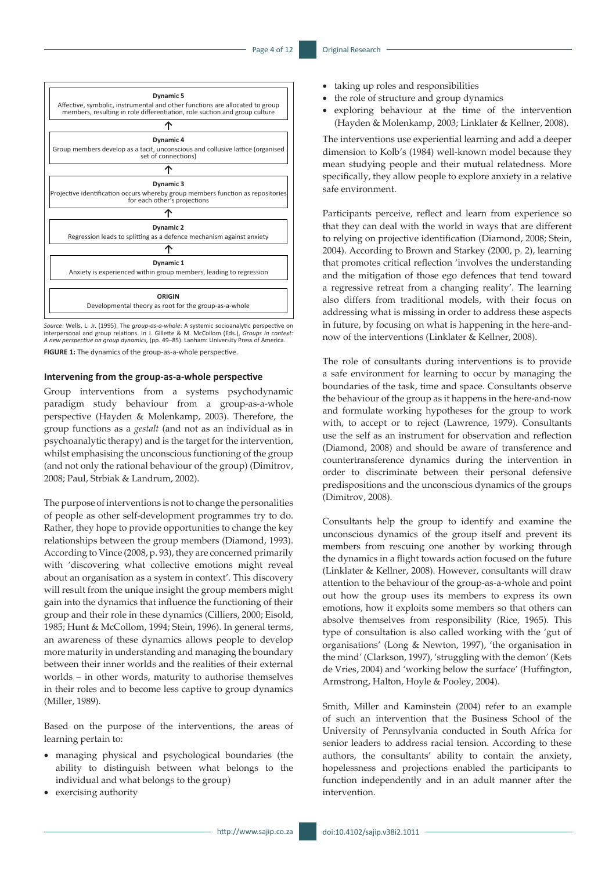

*Source*: Wells, L. Jr. (1995). The *group-as-a-whole*: A systemic socioanalytic perspective on interpersonal and group relations. In J. Gillette & M. McCollom (Eds.), *Groups in context: A new perspective on group dynamics,* (pp. 49–85). Lanham: University Press of America.

**FIGURE 1:** The dynamics of the group-as-a-whole perspective.

#### **Intervening from the group-as-a-whole perspective**

Group interventions from a systems psychodynamic paradigm study behaviour from a group-as-a-whole perspective (Hayden & Molenkamp, 2003). Therefore, the group functions as a *gestalt* (and not as an individual as in psychoanalytic therapy) and is the target for the intervention, whilst emphasising the unconscious functioning of the group (and not only the rational behaviour of the group) (Dimitrov, 2008; Paul, Strbiak & Landrum, 2002).

The purpose of interventions is not to change the personalities of people as other self-development programmes try to do. Rather, they hope to provide opportunities to change the key relationships between the group members (Diamond, 1993). According to Vince (2008, p. 93), they are concerned primarily with 'discovering what collective emotions might reveal about an organisation as a system in context'. This discovery will result from the unique insight the group members might gain into the dynamics that influence the functioning of their group and their role in these dynamics (Cilliers, 2000; Eisold, 1985; Hunt & McCollom, 1994; Stein, 1996). In general terms, an awareness of these dynamics allows people to develop more maturity in understanding and managing the boundary between their inner worlds and the realities of their external worlds – in other words, maturity to authorise themselves in their roles and to become less captive to group dynamics (Miller, 1989).

Based on the purpose of the interventions, the areas of learning pertain to:

- • managing physical and psychological boundaries (the ability to distinguish between what belongs to the individual and what belongs to the group)
- • exercising authority
- • taking up roles and responsibilities
- the role of structure and group dynamics
- • exploring behaviour at the time of the intervention (Hayden & Molenkamp, 2003; Linklater & Kellner, 2008).

The interventions use experiential learning and add a deeper dimension to Kolb's (1984) well-known model because they mean studying people and their mutual relatedness. More specifically, they allow people to explore anxiety in a relative safe environment.

Participants perceive, reflect and learn from experience so that they can deal with the world in ways that are different to relying on projective identification (Diamond, 2008; Stein, 2004). According to Brown and Starkey (2000, p. 2), learning that promotes critical reflection 'involves the understanding and the mitigation of those ego defences that tend toward a regressive retreat from a changing reality'. The learning also differs from traditional models, with their focus on addressing what is missing in order to address these aspects in future, by focusing on what is happening in the here-andnow of the interventions (Linklater & Kellner, 2008).

The role of consultants during interventions is to provide a safe environment for learning to occur by managing the boundaries of the task, time and space. Consultants observe the behaviour of the group as it happens in the here-and-now and formulate working hypotheses for the group to work with, to accept or to reject (Lawrence, 1979). Consultants use the self as an instrument for observation and reflection (Diamond, 2008) and should be aware of transference and countertransference dynamics during the intervention in order to discriminate between their personal defensive predispositions and the unconscious dynamics of the groups (Dimitrov, 2008).

Consultants help the group to identify and examine the unconscious dynamics of the group itself and prevent its members from rescuing one another by working through the dynamics in a flight towards action focused on the future (Linklater & Kellner, 2008). However, consultants will draw attention to the behaviour of the group-as-a-whole and point out how the group uses its members to express its own emotions, how it exploits some members so that others can absolve themselves from responsibility (Rice, 1965). This type of consultation is also called working with the 'gut of organisations' (Long & Newton, 1997), 'the organisation in the mind' (Clarkson, 1997), 'struggling with the demon' (Kets de Vries, 2004) and 'working below the surface' (Huffington, Armstrong, Halton, Hoyle & Pooley, 2004).

Smith, Miller and Kaminstein (2004) refer to an example of such an intervention that the Business School of the University of Pennsylvania conducted in South Africa for senior leaders to address racial tension. According to these authors, the consultants' ability to contain the anxiety, hopelessness and projections enabled the participants to function independently and in an adult manner after the intervention.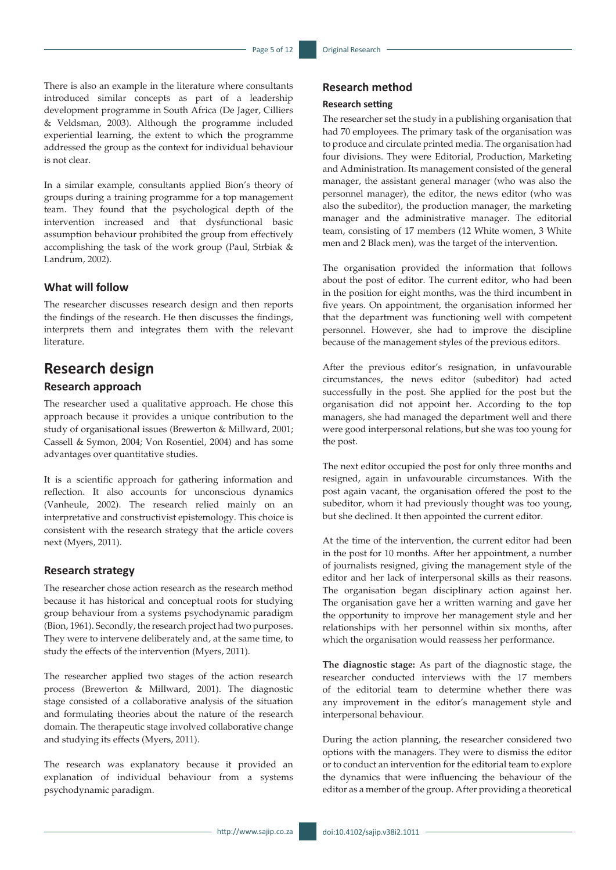There is also an example in the literature where consultants introduced similar concepts as part of a leadership development programme in South Africa (De Jager, Cilliers & Veldsman, 2003). Although the programme included experiential learning, the extent to which the programme addressed the group as the context for individual behaviour is not clear.

In a similar example, consultants applied Bion's theory of groups during a training programme for a top management team. They found that the psychological depth of the intervention increased and that dysfunctional basic assumption behaviour prohibited the group from effectively accomplishing the task of the work group (Paul, Strbiak & Landrum, 2002).

## **What will follow**

The researcher discusses research design and then reports the findings of the research. He then discusses the findings, interprets them and integrates them with the relevant literature.

# **Research design**

# **Research approach**

The researcher used a qualitative approach. He chose this approach because it provides a unique contribution to the study of organisational issues (Brewerton & Millward, 2001; Cassell & Symon, 2004; Von Rosentiel, 2004) and has some advantages over quantitative studies.

It is a scientific approach for gathering information and reflection. It also accounts for unconscious dynamics (Vanheule, 2002). The research relied mainly on an interpretative and constructivist epistemology. This choice is consistent with the research strategy that the article covers next (Myers, 2011).

# **Research strategy**

The researcher chose action research as the research method because it has historical and conceptual roots for studying group behaviour from a systems psychodynamic paradigm (Bion, 1961). Secondly, the research project had two purposes. They were to intervene deliberately and, at the same time, to study the effects of the intervention (Myers, 2011).

The researcher applied two stages of the action research process (Brewerton & Millward, 2001). The diagnostic stage consisted of a collaborative analysis of the situation and formulating theories about the nature of the research domain. The therapeutic stage involved collaborative change and studying its effects (Myers, 2011).

The research was explanatory because it provided an explanation of individual behaviour from a systems psychodynamic paradigm.

# **Research method**

#### **Research setting**

The researcher set the study in a publishing organisation that had 70 employees. The primary task of the organisation was to produce and circulate printed media. The organisation had four divisions. They were Editorial, Production, Marketing and Administration. Its management consisted of the general manager, the assistant general manager (who was also the personnel manager), the editor, the news editor (who was also the subeditor), the production manager, the marketing manager and the administrative manager. The editorial team, consisting of 17 members (12 White women, 3 White men and 2 Black men), was the target of the intervention.

The organisation provided the information that follows about the post of editor. The current editor, who had been in the position for eight months, was the third incumbent in five years. On appointment, the organisation informed her that the department was functioning well with competent personnel. However, she had to improve the discipline because of the management styles of the previous editors.

After the previous editor's resignation, in unfavourable circumstances, the news editor (subeditor) had acted successfully in the post. She applied for the post but the organisation did not appoint her. According to the top managers, she had managed the department well and there were good interpersonal relations, but she was too young for the post.

The next editor occupied the post for only three months and resigned, again in unfavourable circumstances. With the post again vacant, the organisation offered the post to the subeditor, whom it had previously thought was too young, but she declined. It then appointed the current editor.

At the time of the intervention, the current editor had been in the post for 10 months. After her appointment, a number of journalists resigned, giving the management style of the editor and her lack of interpersonal skills as their reasons. The organisation began disciplinary action against her. The organisation gave her a written warning and gave her the opportunity to improve her management style and her relationships with her personnel within six months, after which the organisation would reassess her performance.

**The diagnostic stage:** As part of the diagnostic stage, the researcher conducted interviews with the 17 members of the editorial team to determine whether there was any improvement in the editor's management style and interpersonal behaviour.

During the action planning, the researcher considered two options with the managers. They were to dismiss the editor or to conduct an intervention for the editorial team to explore the dynamics that were influencing the behaviour of the editor as a member of the group. After providing a theoretical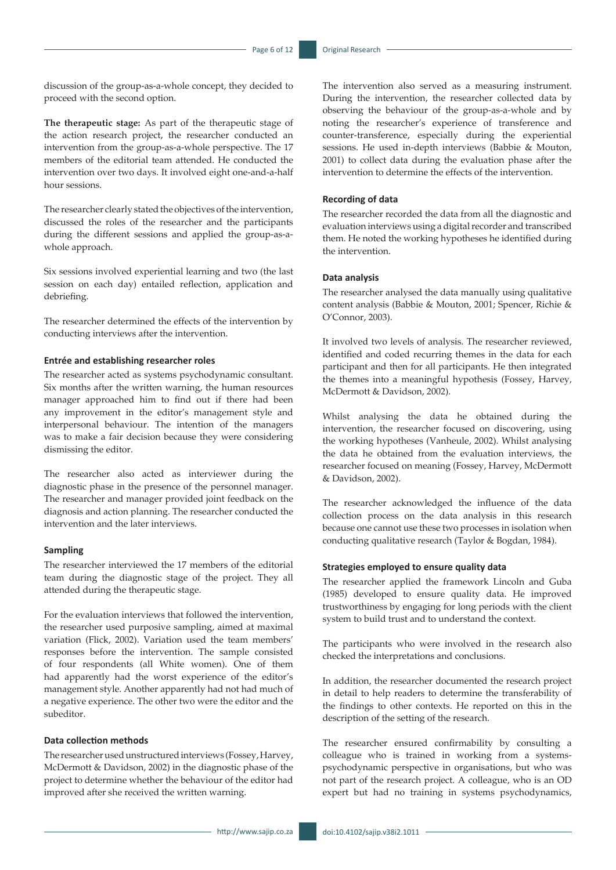discussion of the group-as-a-whole concept, they decided to proceed with the second option.

**The therapeutic stage:** As part of the therapeutic stage of the action research project, the researcher conducted an intervention from the group-as-a-whole perspective. The 17 members of the editorial team attended. He conducted the intervention over two days. It involved eight one-and-a-half hour sessions.

The researcher clearly stated the objectives of the intervention, discussed the roles of the researcher and the participants during the different sessions and applied the group-as-awhole approach.

Six sessions involved experiential learning and two (the last session on each day) entailed reflection, application and debriefing.

The researcher determined the effects of the intervention by conducting interviews after the intervention.

#### **Entrée and establishing researcher roles**

The researcher acted as systems psychodynamic consultant. Six months after the written warning, the human resources manager approached him to find out if there had been any improvement in the editor's management style and interpersonal behaviour. The intention of the managers was to make a fair decision because they were considering dismissing the editor.

The researcher also acted as interviewer during the diagnostic phase in the presence of the personnel manager. The researcher and manager provided joint feedback on the diagnosis and action planning. The researcher conducted the intervention and the later interviews.

#### **Sampling**

The researcher interviewed the 17 members of the editorial team during the diagnostic stage of the project. They all attended during the therapeutic stage.

For the evaluation interviews that followed the intervention, the researcher used purposive sampling, aimed at maximal variation (Flick, 2002). Variation used the team members' responses before the intervention. The sample consisted of four respondents (all White women). One of them had apparently had the worst experience of the editor's management style. Another apparently had not had much of a negative experience. The other two were the editor and the subeditor.

# **Data collection methods**

The researcher used unstructured interviews (Fossey, Harvey, McDermott & Davidson, 2002) in the diagnostic phase of the project to determine whether the behaviour of the editor had improved after she received the written warning.

The intervention also served as a measuring instrument. During the intervention, the researcher collected data by observing the behaviour of the group-as-a-whole and by noting the researcher's experience of transference and counter-transference, especially during the experiential sessions. He used in-depth interviews (Babbie & Mouton, 2001) to collect data during the evaluation phase after the intervention to determine the effects of the intervention.

### **Recording of data**

The researcher recorded the data from all the diagnostic and evaluation interviews using a digital recorder and transcribed them. He noted the working hypotheses he identified during the intervention.

#### **Data analysis**

The researcher analysed the data manually using qualitative content analysis (Babbie & Mouton, 2001; Spencer, Richie & O'Connor, 2003).

It involved two levels of analysis. The researcher reviewed, identified and coded recurring themes in the data for each participant and then for all participants. He then integrated the themes into a meaningful hypothesis (Fossey, Harvey, McDermott & Davidson, 2002).

Whilst analysing the data he obtained during the intervention, the researcher focused on discovering, using the working hypotheses (Vanheule, 2002). Whilst analysing the data he obtained from the evaluation interviews, the researcher focused on meaning (Fossey, Harvey, McDermott & Davidson, 2002).

The researcher acknowledged the influence of the data collection process on the data analysis in this research because one cannot use these two processes in isolation when conducting qualitative research (Taylor & Bogdan, 1984).

#### **Strategies employed to ensure quality data**

The researcher applied the framework Lincoln and Guba (1985) developed to ensure quality data. He improved trustworthiness by engaging for long periods with the client system to build trust and to understand the context.

The participants who were involved in the research also checked the interpretations and conclusions.

In addition, the researcher documented the research project in detail to help readers to determine the transferability of the findings to other contexts. He reported on this in the description of the setting of the research.

The researcher ensured confirmability by consulting a colleague who is trained in working from a systemspsychodynamic perspective in organisations, but who was not part of the research project. A colleague, who is an OD expert but had no training in systems psychodynamics,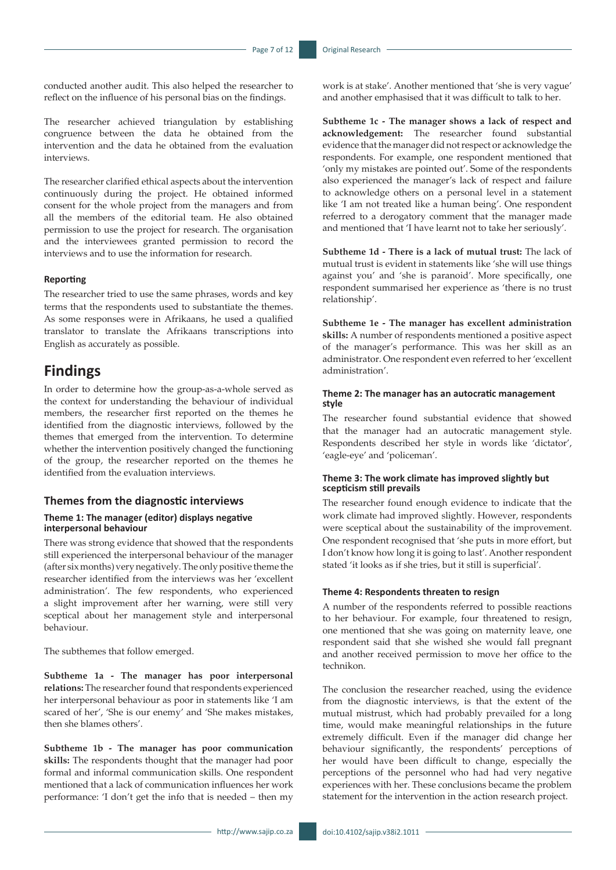conducted another audit. This also helped the researcher to reflect on the influence of his personal bias on the findings.

The researcher achieved triangulation by establishing congruence between the data he obtained from the intervention and the data he obtained from the evaluation interviews

The researcher clarified ethical aspects about the intervention continuously during the project. He obtained informed consent for the whole project from the managers and from all the members of the editorial team. He also obtained permission to use the project for research. The organisation and the interviewees granted permission to record the interviews and to use the information for research.

#### **Reporting**

The researcher tried to use the same phrases, words and key terms that the respondents used to substantiate the themes. As some responses were in Afrikaans, he used a qualified translator to translate the Afrikaans transcriptions into English as accurately as possible.

# **Findings**

In order to determine how the group-as-a-whole served as the context for understanding the behaviour of individual members, the researcher first reported on the themes he identified from the diagnostic interviews, followed by the themes that emerged from the intervention. To determine whether the intervention positively changed the functioning of the group, the researcher reported on the themes he identified from the evaluation interviews.

#### **Themes from the diagnostic interviews**

#### **Theme 1: The manager (editor) displays negative interpersonal behaviour**

There was strong evidence that showed that the respondents still experienced the interpersonal behaviour of the manager (after six months) very negatively. The only positive theme the researcher identified from the interviews was her 'excellent administration'. The few respondents, who experienced a slight improvement after her warning, were still very sceptical about her management style and interpersonal behaviour.

The subthemes that follow emerged.

**Subtheme 1a - The manager has poor interpersonal relations:** The researcher found that respondents experienced her interpersonal behaviour as poor in statements like 'I am scared of her', 'She is our enemy' and 'She makes mistakes, then she blames others'.

**Subtheme 1b - The manager has poor communication skills:** The respondents thought that the manager had poor formal and informal communication skills. One respondent mentioned that a lack of communication influences her work performance: 'I don't get the info that is needed – then my work is at stake'. Another mentioned that 'she is very vague' and another emphasised that it was difficult to talk to her.

**Subtheme 1c - The manager shows a lack of respect and acknowledgement:** The researcher found substantial evidence that the manager did not respect or acknowledge the respondents. For example, one respondent mentioned that 'only my mistakes are pointed out'. Some of the respondents also experienced the manager's lack of respect and failure to acknowledge others on a personal level in a statement like 'I am not treated like a human being'. One respondent referred to a derogatory comment that the manager made and mentioned that 'I have learnt not to take her seriously'.

**Subtheme 1d - There is a lack of mutual trust:** The lack of mutual trust is evident in statements like 'she will use things against you' and 'she is paranoid'. More specifically, one respondent summarised her experience as 'there is no trust relationship'.

**Subtheme 1e - The manager has excellent administration skills:** A number of respondents mentioned a positive aspect of the manager's performance. This was her skill as an administrator. One respondent even referred to her 'excellent administration'.

#### **Theme 2: The manager has an autocratic management style**

The researcher found substantial evidence that showed that the manager had an autocratic management style. Respondents described her style in words like 'dictator', 'eagle-eye' and 'policeman'.

### **Theme 3: The work climate has improved slightly but scepticism still prevails**

The researcher found enough evidence to indicate that the work climate had improved slightly. However, respondents were sceptical about the sustainability of the improvement. One respondent recognised that 'she puts in more effort, but I don't know how long it is going to last'. Another respondent stated 'it looks as if she tries, but it still is superficial'.

#### **Theme 4: Respondents threaten to resign**

A number of the respondents referred to possible reactions to her behaviour. For example, four threatened to resign, one mentioned that she was going on maternity leave, one respondent said that she wished she would fall pregnant and another received permission to move her office to the technikon.

The conclusion the researcher reached, using the evidence from the diagnostic interviews, is that the extent of the mutual mistrust, which had probably prevailed for a long time, would make meaningful relationships in the future extremely difficult. Even if the manager did change her behaviour significantly, the respondents' perceptions of her would have been difficult to change, especially the perceptions of the personnel who had had very negative experiences with her. These conclusions became the problem statement for the intervention in the action research project.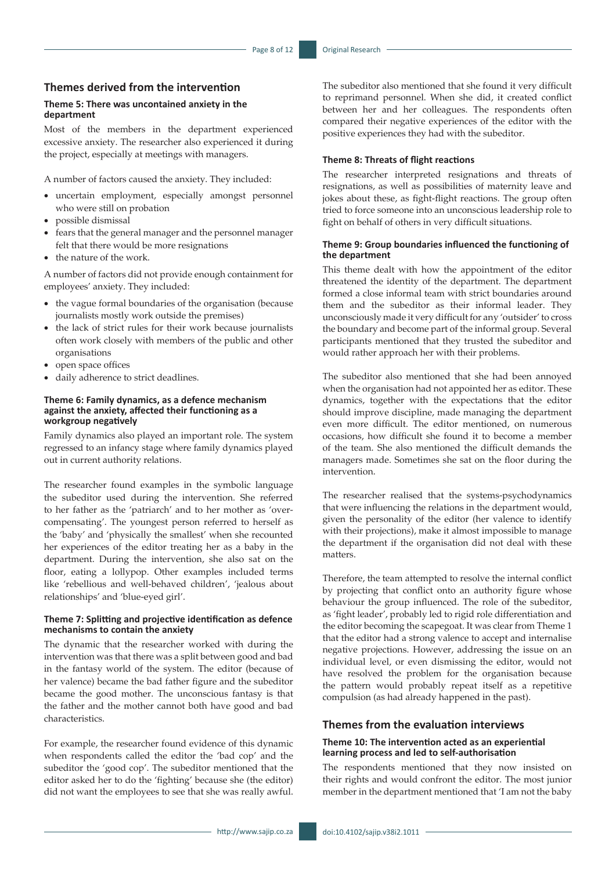# **Themes derived from the intervention**

#### **Theme 5: There was uncontained anxiety in the department**

Most of the members in the department experienced excessive anxiety. The researcher also experienced it during the project, especially at meetings with managers.

A number of factors caused the anxiety. They included:

- uncertain employment, especially amongst personnel who were still on probation
- possible dismissal
- fears that the general manager and the personnel manager felt that there would be more resignations
- the nature of the work.

A number of factors did not provide enough containment for employees' anxiety. They included:

- the vague formal boundaries of the organisation (because journalists mostly work outside the premises)
- the lack of strict rules for their work because journalists often work closely with members of the public and other organisations
- open space offices
- daily adherence to strict deadlines.

#### **Theme 6: Family dynamics, as a defence mechanism against the anxiety, affected their functioning as a workgroup negatively**

Family dynamics also played an important role. The system regressed to an infancy stage where family dynamics played out in current authority relations.

The researcher found examples in the symbolic language the subeditor used during the intervention. She referred to her father as the 'patriarch' and to her mother as 'overcompensating'. The youngest person referred to herself as the 'baby' and 'physically the smallest' when she recounted her experiences of the editor treating her as a baby in the department. During the intervention, she also sat on the floor, eating a lollypop. Other examples included terms like 'rebellious and well-behaved children', 'jealous about relationships' and 'blue-eyed girl'.

#### **Theme 7: Splitting and projective identification as defence mechanisms to contain the anxiety**

The dynamic that the researcher worked with during the intervention was that there was a split between good and bad in the fantasy world of the system. The editor (because of her valence) became the bad father figure and the subeditor became the good mother. The unconscious fantasy is that the father and the mother cannot both have good and bad characteristics.

For example, the researcher found evidence of this dynamic when respondents called the editor the 'bad cop' and the subeditor the 'good cop'. The subeditor mentioned that the editor asked her to do the 'fighting' because she (the editor) did not want the employees to see that she was really awful. The subeditor also mentioned that she found it very difficult to reprimand personnel. When she did, it created conflict between her and her colleagues. The respondents often compared their negative experiences of the editor with the positive experiences they had with the subeditor.

#### **Theme 8: Threats of flight reactions**

The researcher interpreted resignations and threats of resignations, as well as possibilities of maternity leave and jokes about these, as fight-flight reactions. The group often tried to force someone into an unconscious leadership role to fight on behalf of others in very difficult situations.

#### **Theme 9: Group boundaries influenced the functioning of the department**

This theme dealt with how the appointment of the editor threatened the identity of the department. The department formed a close informal team with strict boundaries around them and the subeditor as their informal leader. They unconsciously made it very difficult for any 'outsider' to cross the boundary and become part of the informal group. Several participants mentioned that they trusted the subeditor and would rather approach her with their problems.

The subeditor also mentioned that she had been annoyed when the organisation had not appointed her as editor. These dynamics, together with the expectations that the editor should improve discipline, made managing the department even more difficult. The editor mentioned, on numerous occasions, how difficult she found it to become a member of the team. She also mentioned the difficult demands the managers made. Sometimes she sat on the floor during the intervention.

The researcher realised that the systems-psychodynamics that were influencing the relations in the department would, given the personality of the editor (her valence to identify with their projections), make it almost impossible to manage the department if the organisation did not deal with these matters.

Therefore, the team attempted to resolve the internal conflict by projecting that conflict onto an authority figure whose behaviour the group influenced. The role of the subeditor, as 'fight leader', probably led to rigid role differentiation and the editor becoming the scapegoat. It was clear from Theme 1 that the editor had a strong valence to accept and internalise negative projections. However, addressing the issue on an individual level, or even dismissing the editor, would not have resolved the problem for the organisation because the pattern would probably repeat itself as a repetitive compulsion (as had already happened in the past).

#### **Themes from the evaluation interviews**

#### **Theme 10: The intervention acted as an experiential learning process and led to self-authorisation**

The respondents mentioned that they now insisted on their rights and would confront the editor. The most junior member in the department mentioned that 'I am not the baby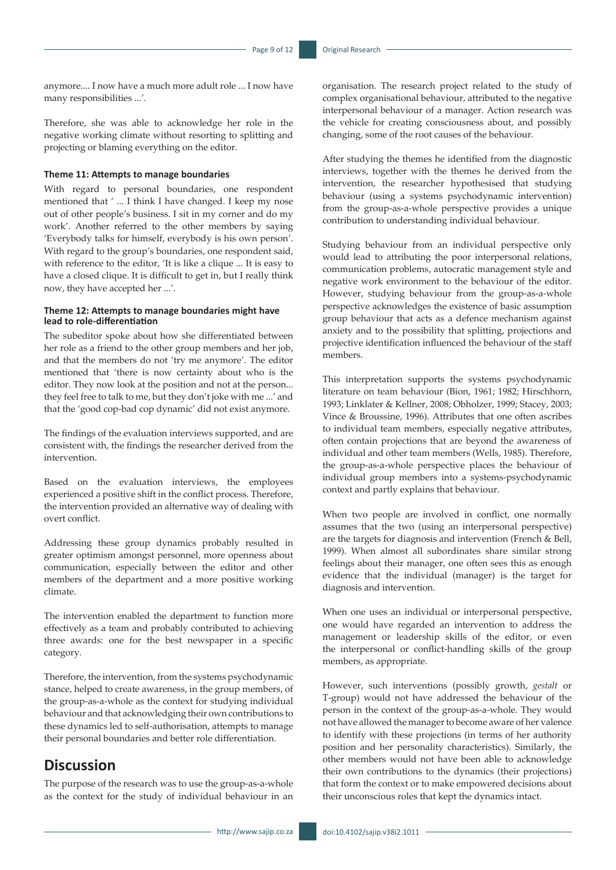anymore.... I now have a much more adult role ... I now have many responsibilities ...'.

Therefore, she was able to acknowledge her role in the negative working climate without resorting to splitting and projecting or blaming everything on the editor.

### **Theme 11: Attempts to manage boundaries**

With regard to personal boundaries, one respondent mentioned that ' ... I think I have changed. I keep my nose out of other people's business. I sit in my corner and do my work'. Another referred to the other members by saying 'Everybody talks for himself, everybody is his own person'. With regard to the group's boundaries, one respondent said, with reference to the editor, 'It is like a clique ... It is easy to have a closed clique. It is difficult to get in, but I really think now, they have accepted her ...'.

### **Theme 12: Attempts to manage boundaries might have lead to role-differentiation**

The subeditor spoke about how she differentiated between her role as a friend to the other group members and her job, and that the members do not 'try me anymore'. The editor mentioned that 'there is now certainty about who is the editor. They now look at the position and not at the person... they feel free to talk to me, but they don't joke with me ...' and that the 'good cop-bad cop dynamic' did not exist anymore.

The findings of the evaluation interviews supported, and are consistent with, the findings the researcher derived from the intervention.

Based on the evaluation interviews, the employees experienced a positive shift in the conflict process. Therefore, the intervention provided an alternative way of dealing with overt conflict.

Addressing these group dynamics probably resulted in greater optimism amongst personnel, more openness about communication, especially between the editor and other members of the department and a more positive working climate.

The intervention enabled the department to function more effectively as a team and probably contributed to achieving three awards: one for the best newspaper in a specific category.

Therefore, the intervention, from the systems psychodynamic stance, helped to create awareness, in the group members, of the group-as-a-whole as the context for studying individual behaviour and that acknowledging their own contributions to these dynamics led to self-authorisation, attempts to manage their personal boundaries and better role differentiation.

# **Discussion**

The purpose of the research was to use the group-as-a-whole as the context for the study of individual behaviour in an

organisation. The research project related to the study of complex organisational behaviour, attributed to the negative interpersonal behaviour of a manager. Action research was the vehicle for creating consciousness about, and possibly changing, some of the root causes of the behaviour.

After studying the themes he identified from the diagnostic interviews, together with the themes he derived from the intervention, the researcher hypothesised that studying behaviour (using a systems psychodynamic intervention) from the group-as-a-whole perspective provides a unique contribution to understanding individual behaviour.

Studying behaviour from an individual perspective only would lead to attributing the poor interpersonal relations, communication problems, autocratic management style and negative work environment to the behaviour of the editor. However, studying behaviour from the group-as-a-whole perspective acknowledges the existence of basic assumption group behaviour that acts as a defence mechanism against anxiety and to the possibility that splitting, projections and projective identification influenced the behaviour of the staff members.

This interpretation supports the systems psychodynamic literature on team behaviour (Bion, 1961; 1982; Hirschhorn, 1993; Linklater & Kellner, 2008; Obholzer, 1999; Stacey, 2003; Vince & Broussine, 1996). Attributes that one often ascribes to individual team members, especially negative attributes, often contain projections that are beyond the awareness of individual and other team members (Wells, 1985). Therefore, the group-as-a-whole perspective places the behaviour of individual group members into a systems-psychodynamic context and partly explains that behaviour.

When two people are involved in conflict, one normally assumes that the two (using an interpersonal perspective) are the targets for diagnosis and intervention (French & Bell, 1999). When almost all subordinates share similar strong feelings about their manager, one often sees this as enough evidence that the individual (manager) is the target for diagnosis and intervention.

When one uses an individual or interpersonal perspective, one would have regarded an intervention to address the management or leadership skills of the editor, or even the interpersonal or conflict-handling skills of the group members, as appropriate.

However, such interventions (possibly growth, *gestalt* or T-group) would not have addressed the behaviour of the person in the context of the group-as-a-whole. They would not have allowed the manager to become aware of her valence to identify with these projections (in terms of her authority position and her personality characteristics). Similarly, the other members would not have been able to acknowledge their own contributions to the dynamics (their projections) that form the context or to make empowered decisions about their unconscious roles that kept the dynamics intact.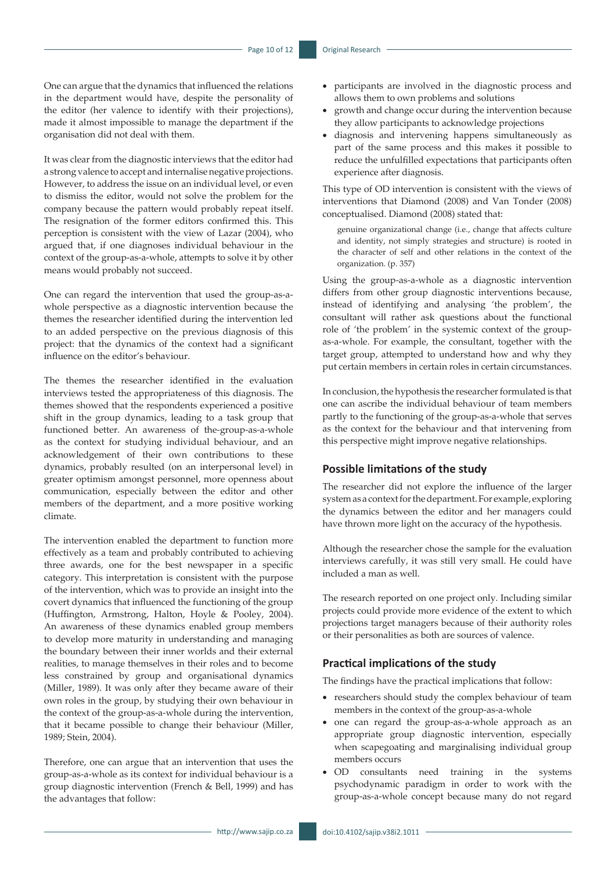One can argue that the dynamics that influenced the relations in the department would have, despite the personality of the editor (her valence to identify with their projections), made it almost impossible to manage the department if the organisation did not deal with them.

It was clear from the diagnostic interviews that the editor had a strong valence to accept and internalise negative projections. However, to address the issue on an individual level, or even to dismiss the editor, would not solve the problem for the company because the pattern would probably repeat itself. The resignation of the former editors confirmed this. This perception is consistent with the view of Lazar (2004), who argued that, if one diagnoses individual behaviour in the context of the group-as-a-whole, attempts to solve it by other means would probably not succeed.

One can regard the intervention that used the group-as-awhole perspective as a diagnostic intervention because the themes the researcher identified during the intervention led to an added perspective on the previous diagnosis of this project: that the dynamics of the context had a significant influence on the editor's behaviour.

The themes the researcher identified in the evaluation interviews tested the appropriateness of this diagnosis. The themes showed that the respondents experienced a positive shift in the group dynamics, leading to a task group that functioned better. An awareness of the-group-as-a-whole as the context for studying individual behaviour, and an acknowledgement of their own contributions to these dynamics, probably resulted (on an interpersonal level) in greater optimism amongst personnel, more openness about communication, especially between the editor and other members of the department, and a more positive working climate.

The intervention enabled the department to function more effectively as a team and probably contributed to achieving three awards, one for the best newspaper in a specific category. This interpretation is consistent with the purpose of the intervention, which was to provide an insight into the covert dynamics that influenced the functioning of the group (Huffington, Armstrong, Halton, Hoyle & Pooley, 2004). An awareness of these dynamics enabled group members to develop more maturity in understanding and managing the boundary between their inner worlds and their external realities, to manage themselves in their roles and to become less constrained by group and organisational dynamics (Miller, 1989). It was only after they became aware of their own roles in the group, by studying their own behaviour in the context of the group-as-a-whole during the intervention, that it became possible to change their behaviour (Miller, 1989; Stein, 2004).

Therefore, one can argue that an intervention that uses the group-as-a-whole as its context for individual behaviour is a group diagnostic intervention (French & Bell, 1999) and has the advantages that follow:

- • participants are involved in the diagnostic process and allows them to own problems and solutions
- growth and change occur during the intervention because they allow participants to acknowledge projections
- diagnosis and intervening happens simultaneously as part of the same process and this makes it possible to reduce the unfulfilled expectations that participants often experience after diagnosis.

This type of OD intervention is consistent with the views of interventions that Diamond (2008) and Van Tonder (2008) conceptualised. Diamond (2008) stated that:

genuine organizational change (i.e., change that affects culture and identity, not simply strategies and structure) is rooted in the character of self and other relations in the context of the organization. (p. 357)

Using the group-as-a-whole as a diagnostic intervention differs from other group diagnostic interventions because, instead of identifying and analysing 'the problem', the consultant will rather ask questions about the functional role of 'the problem' in the systemic context of the groupas-a-whole. For example, the consultant, together with the target group, attempted to understand how and why they put certain members in certain roles in certain circumstances.

In conclusion, the hypothesis the researcher formulated is that one can ascribe the individual behaviour of team members partly to the functioning of the group-as-a-whole that serves as the context for the behaviour and that intervening from this perspective might improve negative relationships.

# **Possible limitations of the study**

The researcher did not explore the influence of the larger system as a context for the department. For example, exploring the dynamics between the editor and her managers could have thrown more light on the accuracy of the hypothesis.

Although the researcher chose the sample for the evaluation interviews carefully, it was still very small. He could have included a man as well.

The research reported on one project only. Including similar projects could provide more evidence of the extent to which projections target managers because of their authority roles or their personalities as both are sources of valence.

### **Practical implications of the study**

The findings have the practical implications that follow:

- researchers should study the complex behaviour of team members in the context of the group-as-a-whole
- one can regard the group-as-a-whole approach as an appropriate group diagnostic intervention, especially when scapegoating and marginalising individual group members occurs
- • OD consultants need training in the systems psychodynamic paradigm in order to work with the group-as-a-whole concept because many do not regard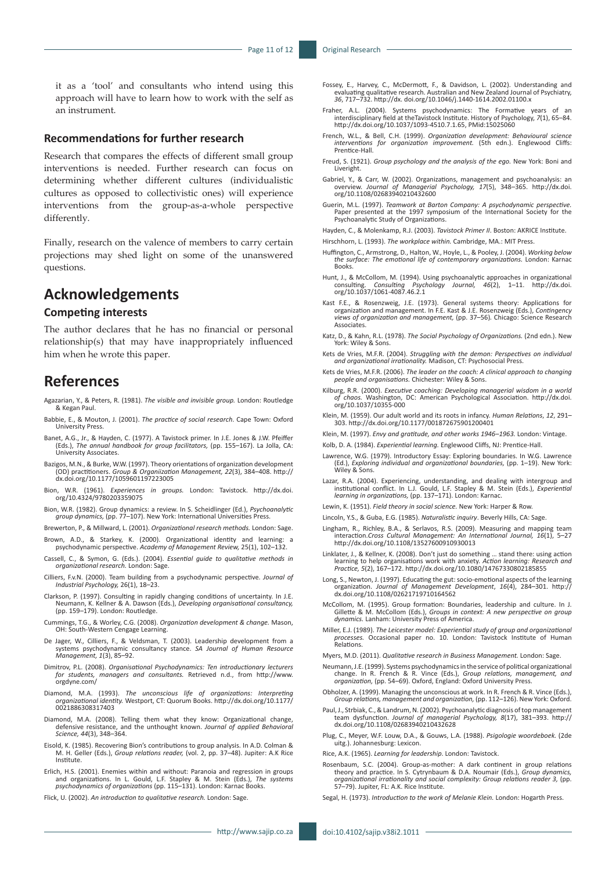it as a 'tool' and consultants who intend using this approach will have to learn how to work with the self as an instrument.

#### **Recommendations for further research**

Research that compares the effects of different small group interventions is needed. Further research can focus on determining whether different cultures (individualistic cultures as opposed to collectivistic ones) will experience interventions from the group-as-a-whole perspective differently.

Finally, research on the valence of members to carry certain projections may shed light on some of the unanswered questions.

# **Acknowledgements**

## **Competing interests**

The author declares that he has no financial or personal relationship(s) that may have inappropriately influenced him when he wrote this paper.

# **References**

- Agazarian, Y., & Peters, R. (1981). *The visible and invisible group.* London: Routledge & Kegan Paul.
- Babbie, E., & Mouton, J. (2001). *The practice of social research*. Cape Town: Oxford University Press.
- Banet, A.G., Jr., & Hayden, C. (1977). A Tavistock primer. In J.E. Jones & J.W. Pfeiffer (Eds.), *The annual handbook for group facilitators,* (pp. 155–167). La Jolla, CA: University Associates.
- Bazigos, M.N., & Burke, W.W. (1997). Theory orientations of organization development (OD) practitioners. *Group & Organiization Management, 22*(3), 384–408. [http://](http://dx.doi.org/10.1177/1059601197223005) [dx.doi.org/10.1177/1059601197223005](http://dx.doi.org/10.1177/1059601197223005)
- Bion, W.R. (1961). *Experiences in groups.* London: Tavistock. h[ttp://dx.doi.](http://dx.doi.org/10.4324/9780203359075) [org/10.4324/9780203359075](http://dx.doi.org/10.4324/9780203359075)
- Bion, W.R. (1982). Group dynamics: a review. In S. Scheidlinger (Ed.), *Psychoanalytic group dynamics,* (pp. 77–107). New York: International Universities Press.
- Brewerton, P., & Millward, L. (2001). *Organizational research methods.* London: Sage.
- Brown, A.D., & Starkey, K. (2000). Organizational identity and learning: a psychodynamic perspective. *Academy of Management Review,* 25(1), 102–132.
- Cassell, C., & Symon, G. (Eds.). (2004). *Essential guide to qualitative methods in organizational research.* London: Sage.
- Cilliers, F.v.N. (2000). Team building from a psychodynamic perspective. *Journal of Industrial Psychology,* 26(1), 18–23.
- Clarkson, P. (1997). Consulting in rapidly changing conditions of uncertainty. In J.E. Neumann, K. Kellner & A. Dawson (Eds.), *Developing organisational consultancy,*  (pp. 159–179). London: Routledge.
- Cummings, T.G., & Worley, C.G. (2008). *Organization development & change.* Mason, OH: South-Western Cengage Learning.
- De Jager, W., Cilliers, F., & Veldsman, T. (2003). Leadership development from a systems psychodynamic consultancy stance. *SA Journal of Human Resource Management, 1*(3), 85–92.
- Dimitrov, P.L. (2008). *Organisational Psychodynamics: Ten introductionary lecturers for students, managers and consultants.* Retrieved n.d., from h[ttp://www.](http://www.orgdyne.com/) [orgdyne.com/](http://www.orgdyne.com/)
- Diamond, M.A. (1993). *The unconscious life of organizations: Interpreting organizational identity.* Westport, CT: Quorum Books. h[ttp://dx.doi.org/10.1177/](http://dx.doi.org/10.1177/0021886308317403) [0021886308317403](http://dx.doi.org/10.1177/0021886308317403)
- Diamond, M.A. (2008). Telling them what they know: Organizational change, defensive resistance, and the unthought known. *Journal of applied Behavioral Science, 44*(3), 348–364.
- Eisold, K. (1985). Recovering Bion's contributions to group analysis. In A.D. Colman & M. H. Geller (Eds.), *Group relations reader,* (vol. 2, pp. 37–48). Jupiter: A.K Rice Institute.
- Erlich, H.S. (2001). Enemies within and without: Paranoia and regression in groups and organizations. In L. Gould, L.F. Stapley & M. Stein (Eds.), *The systems psychodynamics of organizations* (pp. 115–131). London: Karnac Books.
- Flick, U. (2002). *An introduction to qualitative research.* London: Sage.
- Fossey, E., Harvey, C., McDermott, F., & Davidson, L. (2002). Understanding and evaluating qualitative research. Australian and New Zealand Journal of Psychiatry, *36*, 717–732. http://dx. doi.org/10.1046/j.1440-1614.2002.01100.x
- Fraher, A.L. (2004). Systems psychodynamics: The Formative years of an interdisciplinary field at theTavistock Institute. History of Psychology, *7*(1), 65–84. h[ttp://dx.doi.org/10.1037/1093-4510.7.1.65,](http://dx.doi.org/10.1037/1093-4510.7.1.65) PMid:15025060
- French, W.L., & Bell, C.H. (1999). *Organization development: Behavioural science interventions for organization improvement.* (5th edn.). Englewood Cliffs: Prentice-Hall.
- Freud, S. (1921). *Group psychology and the analysis of the ego.* New York: Boni and Liveright.
- Gabriel, Y., & Carr, W. (2002). Organizations, management and psychoanalysis: an overview Journal of Managerial Psychology 17<sup>(5)</sup> 348–365 http://dx.doi Journal of Managerial Psychology, 17(5), 348-365. [http://dx.doi.](http://dx.doi.org/10.1108/02683940210432600) [org/10.1108/02683940210432600](http://dx.doi.org/10.1108/02683940210432600)
- Guerin, M.L. (1997). *Teamwork at Barton Company: A psychodynamic perspective.* Paper presented at the 1997 symposium of the International Society for the Psychoanalytic Study of Organizations.
- Hayden, C., & Molenkamp, R.J. (2003). *Tavistock Primer II*. Boston: AKRICE Institute.
- Hirschhorn, L. (1993). *The workplace within.* Cambridge, MA.: MIT Press.
- Huffington, C., Armstrong, D., Halton, W., Hoyle, L., & Pooley, J. (2004). *Working below the surface: The emotional life of contemporary organizations.* London: Karnac Books.
- Hunt, J., & McCollom, M. (1994). Using psychoanalytic approaches in organizational consulting. *Consulting Psychology Journal, 46*(2), 1–11. [http://dx.doi.](http://dx.doi.org/10.1037/1061-4087.46.2.1) [org/10.1037/1061-4087.46.2.1](http://dx.doi.org/10.1037/1061-4087.46.2.1)
- Kast F.E., & Rosenzweig, J.E. (1973). General systems theory: Applications for organization and management. In F.E. Kast & J.E. Rosenzweig (Eds.), *Contingency views of organization and management,* (pp. 37–56)*.* Chicago: Science Research Associates.
- Katz, D., & Kahn, R.L. (1978). *The Social Psychology of Organizations.* (2nd edn.). New York: Wiley & Sons.
- Kets de Vries, M.F.R. (2004). *Struggling with the demon: Perspectives on individual and organizational irrationality.* Madison, CT: Psychosocial Press.
- Kets de Vries, M.F.R. (2006). *The leader on the coach: A clinical approach to changing people and organisations.* Chichester: Wiley & Sons.
- Kilburg, R.R. (2000). *Executive coaching: Developing managerial wisdom in a world of chaos.* Washington, DC: American Psychological Association. [http://dx.doi.](http://dx.doi.org/10.1037/10355-000) [org/10.1037/10355-000](http://dx.doi.org/10.1037/10355-000)
- Klein, M. (1959). Our adult world and its roots in infancy. *Human Relations*, *12*, 291– 303. h[ttp://dx.doi.org/10.1177/001872675901200401](http://dx.doi.org/10.1177/001872675901200401)

Klein, M. (1997). *Envy and gratitude, and other works 1946–1963.* London: Vintage.

Kolb, D. A. (1984). *Experiential learning.* Englewood Cliffs, NJ: Prentice-Hall.

- Lawrence, W.G. (1979). Introductory Essay: Exploring boundaries. In W.G. Lawrence (Ed.), *Exploring individual and organizational boundaries,* (pp. 1–19). New York: Wiley & Sons.
- Lazar, R.A. (2004). Experiencing, understanding, and dealing with intergroup and institutional conflict. In L.J. Gould, L.F. Stapley & M. Stein (Eds.), *Experiential learning in organizations,* (pp. 137–171). London: Karnac.
- Lewin, K. (1951). *Field theory in social science.* New York: Harper & Row.
- Lincoln, Y.S., & Guba, E.G. (1985). *Naturalistic inquiry*. Beverly Hills, CA: Sage.
- Lingham, R., Richley, B.A., & Serlavos, R.S. (2009). Measuring and mapping team interaction.*Cross Cultural Management: An International Journal, 16*(1), 5–27 h[ttp://dx.doi.org/10.1108/13527600910930013](http://dx.doi.org/10.1108/13527600910930013)
- Linklater, J., & Kellner, K. (2008). Don't just do something … stand there: using action learning to help organisations work with anxiety. *Action learning: Research and Practice, 5*(2), 167–172. http://dx.doi.org/10.1080/14767330802185855
- Long, S., Newton, J. (1997). Educating the gut: socio-emotional aspects of the learning organization. *Journal of Management Development*, *16*(4), 284–301. http:// dx.doi.org/10.1108/02621719710164562
- McCollom, M. (1995). Group formation: Boundaries, leadership and culture. In J. Gillette & M. McCollom (Eds.), *Groups in context: A new perspective on group dynamics.* Lanham: University Press of America.
- Miller, E.J. (1989). *The Leicester model: Experiential study of group and organizational processes.* Occasional paper no. 10. London: Tavistock Institute of Human Relations.
- Myers, M.D. (2011). *Qualitative research in Business Management.* London: Sage.
- Neumann, J.E. (1999). Systems psychodynamics in the service of political organizational change. In R. French & R. Vince (Eds.), *Group relations, management, and organization,* (pp. 54–69). Oxford, England: Oxford University Press.
- Obholzer, A. (1999). Managing the unconscious at work. In R. French & R. Vince (Eds.), *Group relations, management and organization,* (pp. 112–126). New York: Oxford.
- Paul, J., Strbiak, C., & Landrum, N. (2002). Psychoanalytic diagnosis of top management team dysfunction. *Journal of managerial Psychology, 8*(17), 381–393. http:// dx.doi.org/10.1108/02683940210432628
- Plug, C., Meyer, W.F. Louw, D.A., & Gouws, L.A. (1988). *Psigologie woordeboek.* (2de uitg.). Johannesburg: Lexicon.

Rice, A.K. (1965). *Learning for leadership*. London: Tavistock.

Rosenbaum, S.C. (2004). Group-as-mother: A dark continent in group relations theory and practice. In S. Cytrynbaum & D.A. Noumair (Eds.), *Group dynamics, organizational irrationality and social complexity: Group relations reader 3,* (pp. 57–79). Jupiter, FL: A.K. Rice Institute.

Segal, H. (1973). *Introduction to the work of Melanie Klein.* London: Hogarth Press.